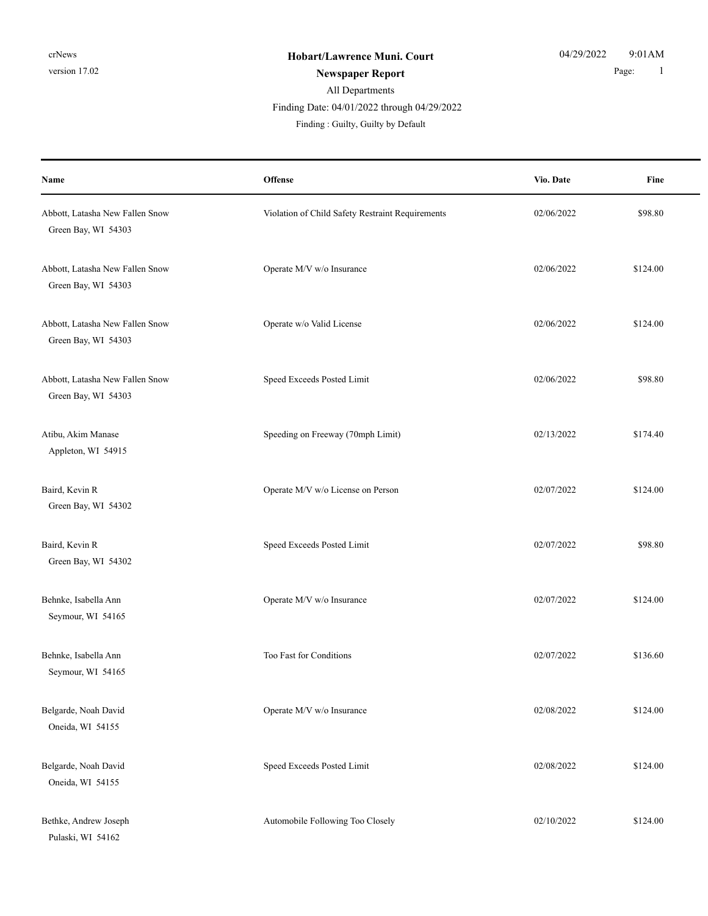Finding Date: 04/01/2022 through 04/29/2022

| Name                                                   | Offense                                          | Vio. Date  | Fine     |
|--------------------------------------------------------|--------------------------------------------------|------------|----------|
| Abbott, Latasha New Fallen Snow<br>Green Bay, WI 54303 | Violation of Child Safety Restraint Requirements | 02/06/2022 | \$98.80  |
| Abbott, Latasha New Fallen Snow<br>Green Bay, WI 54303 | Operate M/V w/o Insurance                        | 02/06/2022 | \$124.00 |
| Abbott, Latasha New Fallen Snow<br>Green Bay, WI 54303 | Operate w/o Valid License                        | 02/06/2022 | \$124.00 |
| Abbott, Latasha New Fallen Snow<br>Green Bay, WI 54303 | Speed Exceeds Posted Limit                       | 02/06/2022 | \$98.80  |
| Atibu, Akim Manase<br>Appleton, WI 54915               | Speeding on Freeway (70mph Limit)                | 02/13/2022 | \$174.40 |
| Baird, Kevin R<br>Green Bay, WI 54302                  | Operate M/V w/o License on Person                | 02/07/2022 | \$124.00 |
| Baird, Kevin R<br>Green Bay, WI 54302                  | Speed Exceeds Posted Limit                       | 02/07/2022 | \$98.80  |
| Behnke, Isabella Ann<br>Seymour, WI 54165              | Operate M/V w/o Insurance                        | 02/07/2022 | \$124.00 |
| Behnke, Isabella Ann<br>Seymour, WI 54165              | Too Fast for Conditions                          | 02/07/2022 | \$136.60 |
| Belgarde, Noah David<br>Oneida, WI 54155               | Operate M/V w/o Insurance                        | 02/08/2022 | \$124.00 |
| Belgarde, Noah David<br>Oneida, WI 54155               | Speed Exceeds Posted Limit                       | 02/08/2022 | \$124.00 |
| Bethke, Andrew Joseph<br>Pulaski, WI 54162             | Automobile Following Too Closely                 | 02/10/2022 | \$124.00 |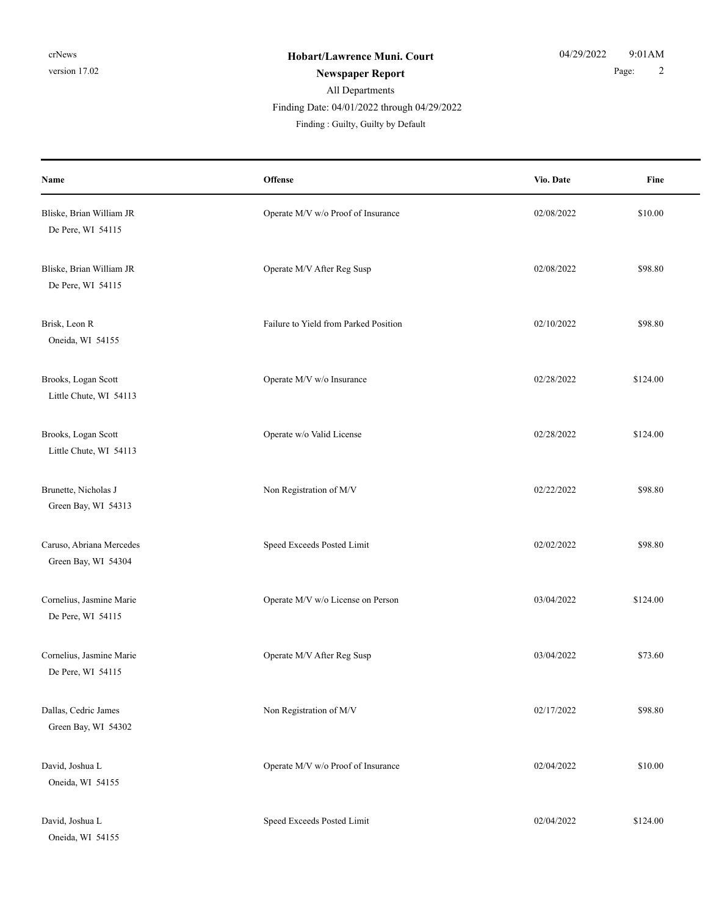### All Departments **Newspaper Report** 2 Finding : Guilty, Guilty by Default Finding Date: 04/01/2022 through 04/29/2022

**Offense** Fine **Name Vio. Date** Bliske, Brian William JR **Operate M/V w/o Proof of Insurance** 02/08/2022 \$10.00 De Pere, WI 54115 Bliske, Brian William JR **Operate M/V After Reg Susp 62/08/2022** \$98.80 De Pere, WI 54115 Brisk, Leon R **Failure to Yield from Parked Position** 62/10/2022 \$98.80 Oneida, WI 54155 Brooks, Logan Scott **Contract Contract Contract Contract Contract Contract Contract Contract Contract Contract Contract Contract Contract Contract Contract Contract Contract Contract Contract Contract Contract Contract Con** Little Chute, WI 54113 Brooks, Logan Scott **Contract Contract Contract Contract Contract Contract Contract Contract Contract Contract Contract Contract Contract Contract Contract Contract Contract Contract Contract Contract Contract Contract Con** Little Chute, WI 54113 Brunette, Nicholas J S98.80 Green Bay, WI 54313 Caruso, Abriana Mercedes Speed Exceeds Posted Limit 2020212022 \$98.80 Green Bay, WI 54304 Cornelius, Jasmine Marie 2012 124.00 Cornelius, Jasmine Marie 2014 12:00 Operate M/V w/o License on Person 2016 De Pere, WI 54115 Cornelius, Jasmine Marie Operate M/V After Reg Susp 03/04/2022 \$73.60 De Pere, WI 54115 Dallas, Cedric James **Non Registration of M/V** 02/17/2022 \$98.80 Green Bay, WI 54302 David, Joshua L Christian Compared M/V w/o Proof of Insurance 02/04/2022 \$10.00 Oneida, WI 54155 David, Joshua L Speed Exceeds Posted Limit 02/04/2022 \$124.00 Oneida, WI 54155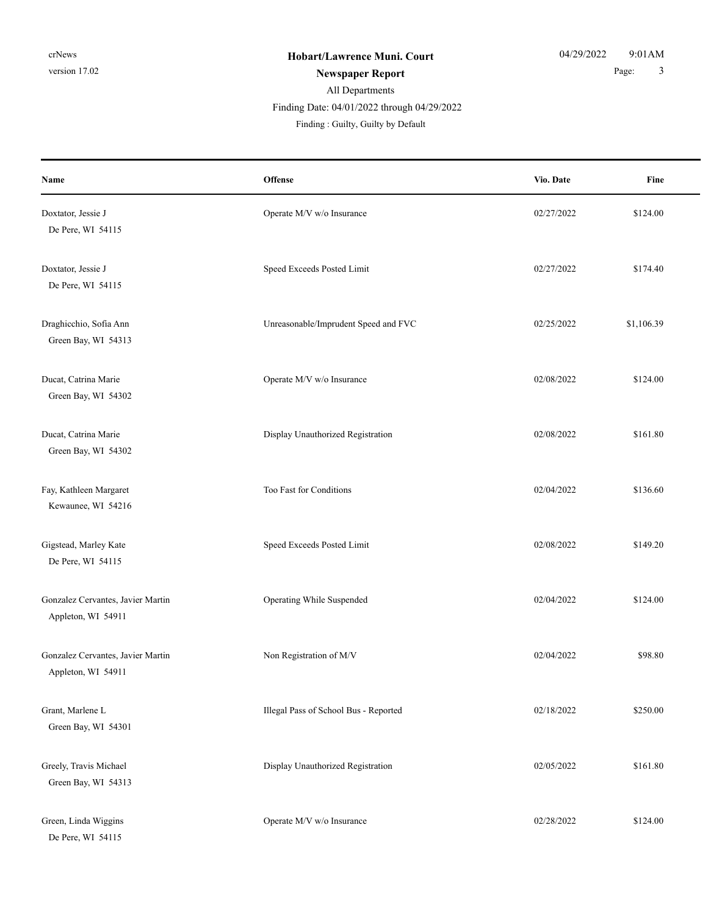Finding Date: 04/01/2022 through 04/29/2022

| Name                                                    | <b>Offense</b>                        | Vio. Date  | Fine       |
|---------------------------------------------------------|---------------------------------------|------------|------------|
| Doxtator, Jessie J<br>De Pere, WI 54115                 | Operate M/V w/o Insurance             | 02/27/2022 | \$124.00   |
| Doxtator, Jessie J<br>De Pere, WI 54115                 | Speed Exceeds Posted Limit            | 02/27/2022 | \$174.40   |
| Draghicchio, Sofia Ann<br>Green Bay, WI 54313           | Unreasonable/Imprudent Speed and FVC  | 02/25/2022 | \$1,106.39 |
| Ducat, Catrina Marie<br>Green Bay, WI 54302             | Operate M/V w/o Insurance             | 02/08/2022 | \$124.00   |
| Ducat, Catrina Marie<br>Green Bay, WI 54302             | Display Unauthorized Registration     | 02/08/2022 | \$161.80   |
| Fay, Kathleen Margaret<br>Kewaunee, WI 54216            | Too Fast for Conditions               | 02/04/2022 | \$136.60   |
| Gigstead, Marley Kate<br>De Pere, WI 54115              | Speed Exceeds Posted Limit            | 02/08/2022 | \$149.20   |
| Gonzalez Cervantes, Javier Martin<br>Appleton, WI 54911 | Operating While Suspended             | 02/04/2022 | \$124.00   |
| Gonzalez Cervantes, Javier Martin<br>Appleton, WI 54911 | Non Registration of M/V               | 02/04/2022 | \$98.80    |
| Grant, Marlene L<br>Green Bay, WI 54301                 | Illegal Pass of School Bus - Reported | 02/18/2022 | \$250.00   |
| Greely, Travis Michael<br>Green Bay, WI 54313           | Display Unauthorized Registration     | 02/05/2022 | \$161.80   |
| Green, Linda Wiggins<br>De Pere, WI 54115               | Operate M/V w/o Insurance             | 02/28/2022 | \$124.00   |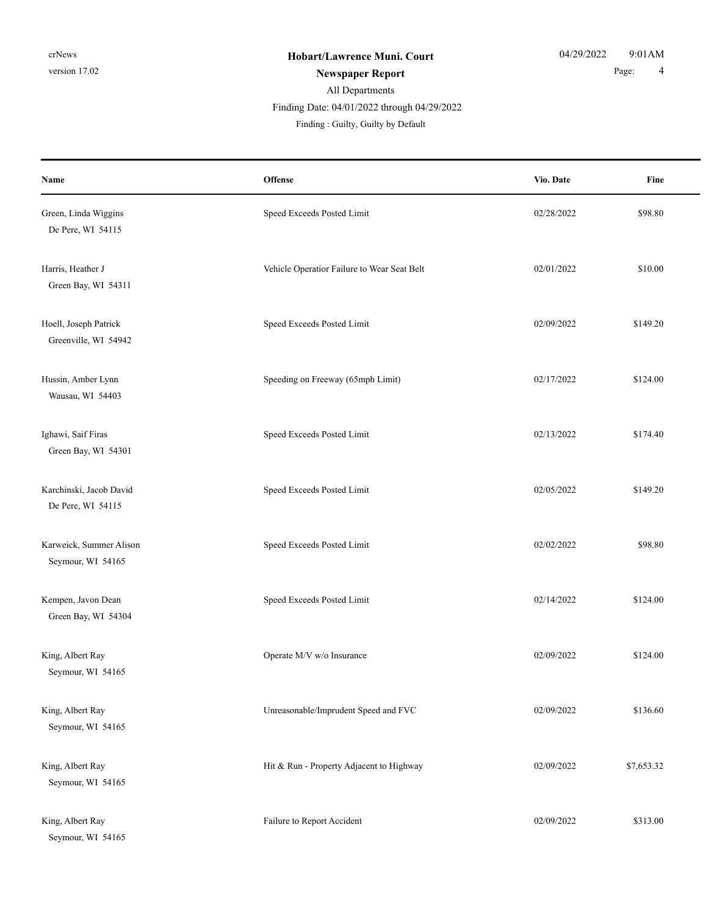### All Departments **Newspaper Report** 2 and 2 and 2 and 2 and 2 and 2 and 2 and 2 and 2 and 2 and 2 and 2 and 2 and 2 and 2 and 2 and 2 and 2 and 2 and 2 and 2 and 2 and 2 and 2 and 2 and 2 and 2 and 2 and 2 and 2 and 2 and 2 and 2 and 2 and

Finding Date: 04/01/2022 through 04/29/2022

| Name                                          | Offense                                     | Vio. Date  | Fine       |
|-----------------------------------------------|---------------------------------------------|------------|------------|
| Green, Linda Wiggins<br>De Pere, WI 54115     | Speed Exceeds Posted Limit                  | 02/28/2022 | \$98.80    |
| Harris, Heather J<br>Green Bay, WI 54311      | Vehicle Operatior Failure to Wear Seat Belt | 02/01/2022 | \$10.00    |
| Hoell, Joseph Patrick<br>Greenville, WI 54942 | Speed Exceeds Posted Limit                  | 02/09/2022 | \$149.20   |
| Hussin, Amber Lynn<br>Wausau, WI 54403        | Speeding on Freeway (65mph Limit)           | 02/17/2022 | \$124.00   |
| Ighawi, Saif Firas<br>Green Bay, WI 54301     | Speed Exceeds Posted Limit                  | 02/13/2022 | \$174.40   |
| Karchinski, Jacob David<br>De Pere, WI 54115  | Speed Exceeds Posted Limit                  | 02/05/2022 | \$149.20   |
| Karweick, Summer Alison<br>Seymour, WI 54165  | Speed Exceeds Posted Limit                  | 02/02/2022 | \$98.80    |
| Kempen, Javon Dean<br>Green Bay, WI 54304     | Speed Exceeds Posted Limit                  | 02/14/2022 | \$124.00   |
| King, Albert Ray<br>Seymour, WI 54165         | Operate M/V w/o Insurance                   | 02/09/2022 | \$124.00   |
| King, Albert Ray<br>Seymour, WI 54165         | Unreasonable/Imprudent Speed and FVC        | 02/09/2022 | \$136.60   |
| King, Albert Ray<br>Seymour, WI 54165         | Hit & Run - Property Adjacent to Highway    | 02/09/2022 | \$7,653.32 |
| King, Albert Ray<br>Seymour, WI 54165         | Failure to Report Accident                  | 02/09/2022 | \$313.00   |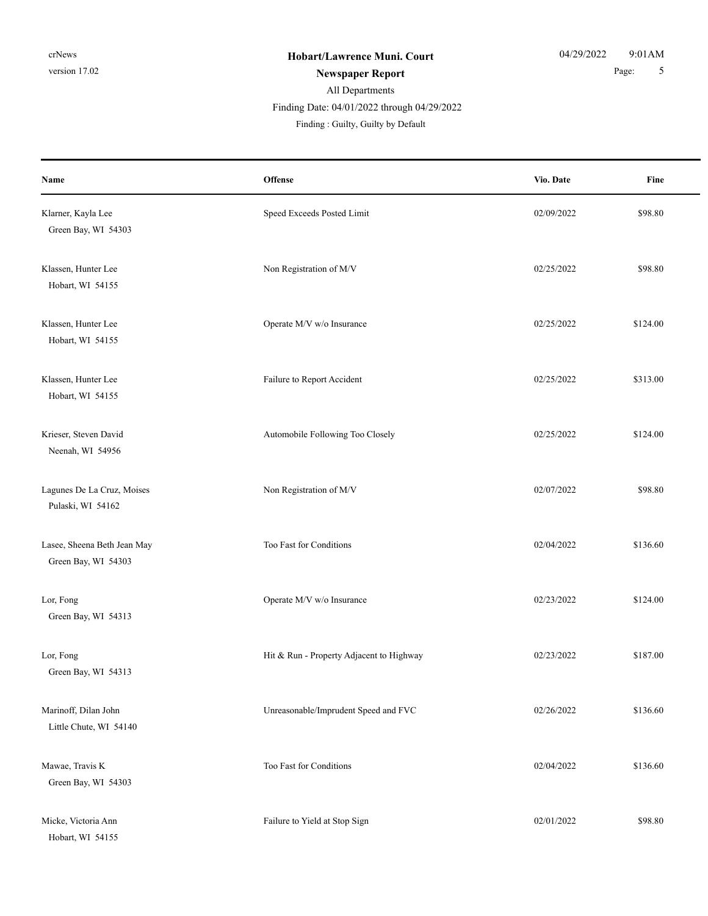### All Departments **Newspaper Report** 5

Finding Date: 04/01/2022 through 04/29/2022

| Name                                               | <b>Offense</b>                           | Vio. Date  | Fine     |
|----------------------------------------------------|------------------------------------------|------------|----------|
| Klarner, Kayla Lee<br>Green Bay, WI 54303          | Speed Exceeds Posted Limit               | 02/09/2022 | \$98.80  |
| Klassen, Hunter Lee<br>Hobart, WI 54155            | Non Registration of M/V                  | 02/25/2022 | \$98.80  |
| Klassen, Hunter Lee<br>Hobart, WI 54155            | Operate M/V w/o Insurance                | 02/25/2022 | \$124.00 |
| Klassen, Hunter Lee<br>Hobart, WI 54155            | Failure to Report Accident               | 02/25/2022 | \$313.00 |
| Krieser, Steven David<br>Neenah, WI 54956          | Automobile Following Too Closely         | 02/25/2022 | \$124.00 |
| Lagunes De La Cruz, Moises<br>Pulaski, WI 54162    | Non Registration of M/V                  | 02/07/2022 | \$98.80  |
| Lasee, Sheena Beth Jean May<br>Green Bay, WI 54303 | Too Fast for Conditions                  | 02/04/2022 | \$136.60 |
| Lor, Fong<br>Green Bay, WI 54313                   | Operate M/V w/o Insurance                | 02/23/2022 | \$124.00 |
| Lor, Fong<br>Green Bay, WI 54313                   | Hit & Run - Property Adjacent to Highway | 02/23/2022 | \$187.00 |
| Marinoff, Dilan John<br>Little Chute, WI 54140     | Unreasonable/Imprudent Speed and FVC     | 02/26/2022 | \$136.60 |
| Mawae, Travis K<br>Green Bay, WI 54303             | Too Fast for Conditions                  | 02/04/2022 | \$136.60 |
| Micke, Victoria Ann<br>Hobart, WI 54155            | Failure to Yield at Stop Sign            | 02/01/2022 | \$98.80  |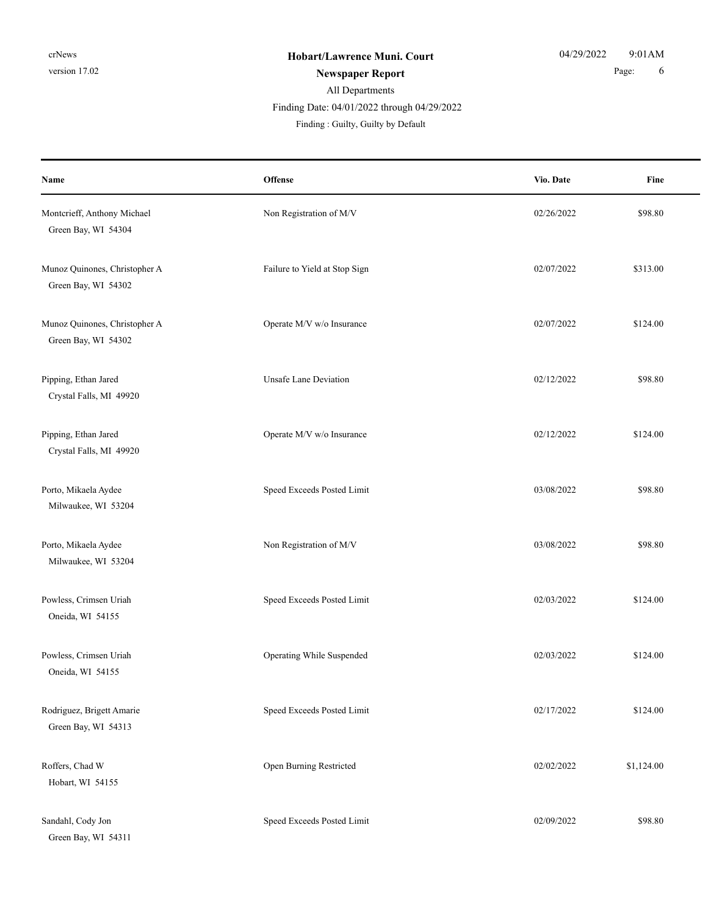## All Departments Finding Date: 04/01/2022 through 04/29/2022

| Name                                                 | Offense                       | Vio. Date  | Fine       |
|------------------------------------------------------|-------------------------------|------------|------------|
| Montcrieff, Anthony Michael<br>Green Bay, WI 54304   | Non Registration of M/V       | 02/26/2022 | \$98.80    |
| Munoz Quinones, Christopher A<br>Green Bay, WI 54302 | Failure to Yield at Stop Sign | 02/07/2022 | \$313.00   |
| Munoz Quinones, Christopher A<br>Green Bay, WI 54302 | Operate M/V w/o Insurance     | 02/07/2022 | \$124.00   |
| Pipping, Ethan Jared<br>Crystal Falls, MI 49920      | <b>Unsafe Lane Deviation</b>  | 02/12/2022 | \$98.80    |
| Pipping, Ethan Jared<br>Crystal Falls, MI 49920      | Operate M/V w/o Insurance     | 02/12/2022 | \$124.00   |
| Porto, Mikaela Aydee<br>Milwaukee, WI 53204          | Speed Exceeds Posted Limit    | 03/08/2022 | \$98.80    |
| Porto, Mikaela Aydee<br>Milwaukee, WI 53204          | Non Registration of M/V       | 03/08/2022 | \$98.80    |
| Powless, Crimsen Uriah<br>Oneida, WI 54155           | Speed Exceeds Posted Limit    | 02/03/2022 | \$124.00   |
| Powless, Crimsen Uriah<br>Oneida, WI 54155           | Operating While Suspended     | 02/03/2022 | \$124.00   |
| Rodriguez, Brigett Amarie<br>Green Bay, WI 54313     | Speed Exceeds Posted Limit    | 02/17/2022 | \$124.00   |
| Roffers, Chad W<br>Hobart, WI 54155                  | Open Burning Restricted       | 02/02/2022 | \$1,124.00 |
| Sandahl, Cody Jon<br>Green Bay, WI 54311             | Speed Exceeds Posted Limit    | 02/09/2022 | \$98.80    |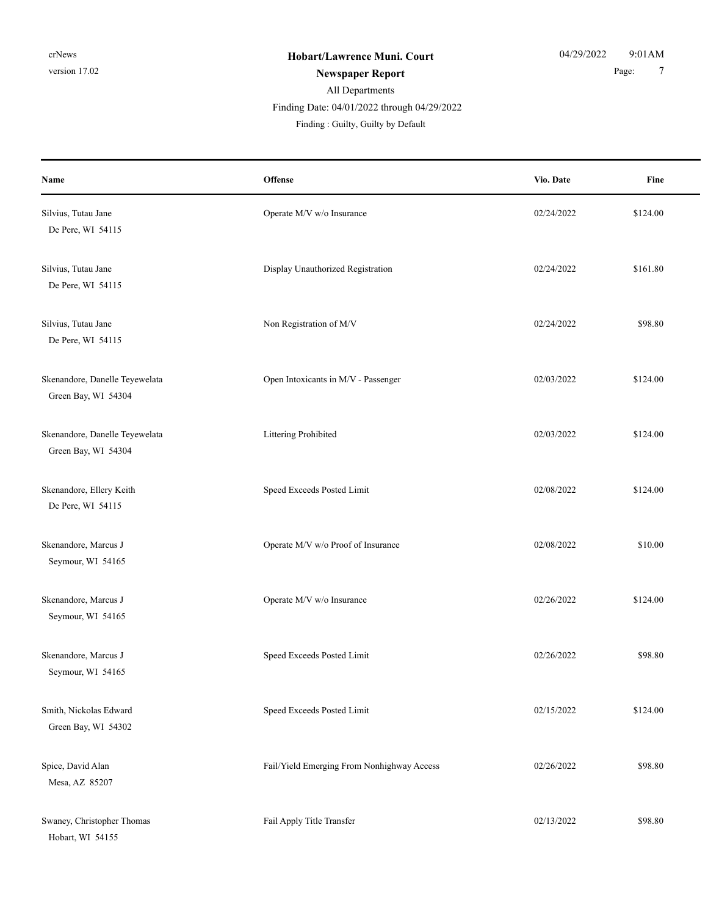Finding Date: 04/01/2022 through 04/29/2022

| Name                                                  | Offense                                    | Vio. Date  | Fine     |
|-------------------------------------------------------|--------------------------------------------|------------|----------|
| Silvius, Tutau Jane<br>De Pere, WI 54115              | Operate M/V w/o Insurance                  | 02/24/2022 | \$124.00 |
| Silvius, Tutau Jane<br>De Pere, WI 54115              | Display Unauthorized Registration          | 02/24/2022 | \$161.80 |
| Silvius, Tutau Jane<br>De Pere, WI 54115              | Non Registration of M/V                    | 02/24/2022 | \$98.80  |
| Skenandore, Danelle Teyewelata<br>Green Bay, WI 54304 | Open Intoxicants in M/V - Passenger        | 02/03/2022 | \$124.00 |
| Skenandore, Danelle Teyewelata<br>Green Bay, WI 54304 | Littering Prohibited                       | 02/03/2022 | \$124.00 |
| Skenandore, Ellery Keith<br>De Pere, WI 54115         | Speed Exceeds Posted Limit                 | 02/08/2022 | \$124.00 |
| Skenandore, Marcus J<br>Seymour, WI 54165             | Operate M/V w/o Proof of Insurance         | 02/08/2022 | \$10.00  |
| Skenandore, Marcus J<br>Seymour, WI 54165             | Operate M/V w/o Insurance                  | 02/26/2022 | \$124.00 |
| Skenandore, Marcus J<br>Seymour, WI 54165             | Speed Exceeds Posted Limit                 | 02/26/2022 | \$98.80  |
| Smith, Nickolas Edward<br>Green Bay, WI 54302         | Speed Exceeds Posted Limit                 | 02/15/2022 | \$124.00 |
| Spice, David Alan<br>Mesa, AZ 85207                   | Fail/Yield Emerging From Nonhighway Access | 02/26/2022 | \$98.80  |
| Swaney, Christopher Thomas<br>Hobart, WI 54155        | Fail Apply Title Transfer                  | 02/13/2022 | \$98.80  |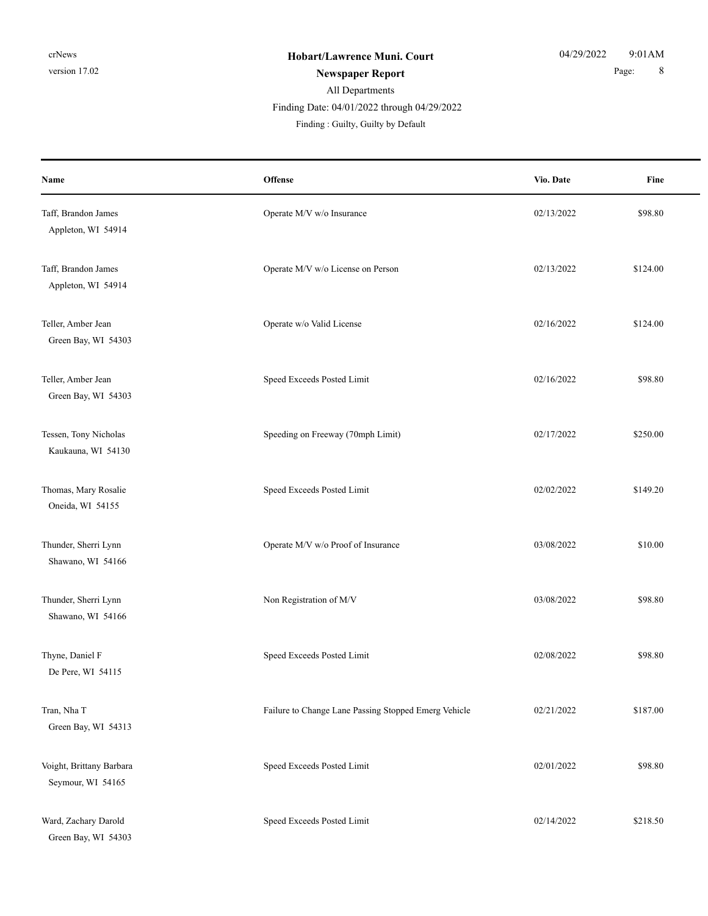### Finding Date: 04/01/2022 through 04/29/2022

| Name                                          | Offense                                              | Vio. Date  | Fine     |
|-----------------------------------------------|------------------------------------------------------|------------|----------|
| Taff, Brandon James<br>Appleton, WI 54914     | Operate M/V w/o Insurance                            | 02/13/2022 | \$98.80  |
| Taff, Brandon James<br>Appleton, WI 54914     | Operate M/V w/o License on Person                    | 02/13/2022 | \$124.00 |
| Teller, Amber Jean<br>Green Bay, WI 54303     | Operate w/o Valid License                            | 02/16/2022 | \$124.00 |
| Teller, Amber Jean<br>Green Bay, WI 54303     | Speed Exceeds Posted Limit                           | 02/16/2022 | \$98.80  |
| Tessen, Tony Nicholas<br>Kaukauna, WI 54130   | Speeding on Freeway (70mph Limit)                    | 02/17/2022 | \$250.00 |
| Thomas, Mary Rosalie<br>Oneida, WI 54155      | Speed Exceeds Posted Limit                           | 02/02/2022 | \$149.20 |
| Thunder, Sherri Lynn<br>Shawano, WI 54166     | Operate M/V w/o Proof of Insurance                   | 03/08/2022 | \$10.00  |
| Thunder, Sherri Lynn<br>Shawano, WI 54166     | Non Registration of M/V                              | 03/08/2022 | \$98.80  |
| Thyne, Daniel F<br>De Pere, WI 54115          | Speed Exceeds Posted Limit                           | 02/08/2022 | \$98.80  |
| Tran, Nha T<br>Green Bay, WI 54313            | Failure to Change Lane Passing Stopped Emerg Vehicle | 02/21/2022 | \$187.00 |
| Voight, Brittany Barbara<br>Seymour, WI 54165 | Speed Exceeds Posted Limit                           | 02/01/2022 | \$98.80  |
| Ward, Zachary Darold<br>Green Bay, WI 54303   | Speed Exceeds Posted Limit                           | 02/14/2022 | \$218.50 |